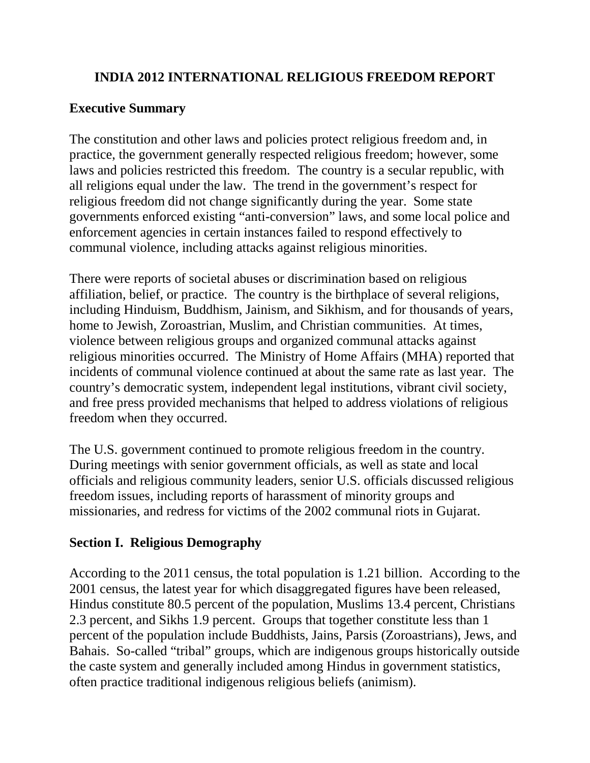## **INDIA 2012 INTERNATIONAL RELIGIOUS FREEDOM REPORT**

# **Executive Summary**

The constitution and other laws and policies protect religious freedom and, in practice, the government generally respected religious freedom; however, some laws and policies restricted this freedom. The country is a secular republic, with all religions equal under the law. The trend in the government's respect for religious freedom did not change significantly during the year. Some state governments enforced existing "anti-conversion" laws, and some local police and enforcement agencies in certain instances failed to respond effectively to communal violence, including attacks against religious minorities.

There were reports of societal abuses or discrimination based on religious affiliation, belief, or practice. The country is the birthplace of several religions, including Hinduism, Buddhism, Jainism, and Sikhism, and for thousands of years, home to Jewish, Zoroastrian, Muslim, and Christian communities. At times, violence between religious groups and organized communal attacks against religious minorities occurred. The Ministry of Home Affairs (MHA) reported that incidents of communal violence continued at about the same rate as last year. The country's democratic system, independent legal institutions, vibrant civil society, and free press provided mechanisms that helped to address violations of religious freedom when they occurred.

The U.S. government continued to promote religious freedom in the country. During meetings with senior government officials, as well as state and local officials and religious community leaders, senior U.S. officials discussed religious freedom issues, including reports of harassment of minority groups and missionaries, and redress for victims of the 2002 communal riots in Gujarat.

# **Section I. Religious Demography**

According to the 2011 census, the total population is 1.21 billion. According to the 2001 census, the latest year for which disaggregated figures have been released, Hindus constitute 80.5 percent of the population, Muslims 13.4 percent, Christians 2.3 percent, and Sikhs 1.9 percent. Groups that together constitute less than 1 percent of the population include Buddhists, Jains, Parsis (Zoroastrians), Jews, and Bahais. So-called "tribal" groups, which are indigenous groups historically outside the caste system and generally included among Hindus in government statistics, often practice traditional indigenous religious beliefs (animism).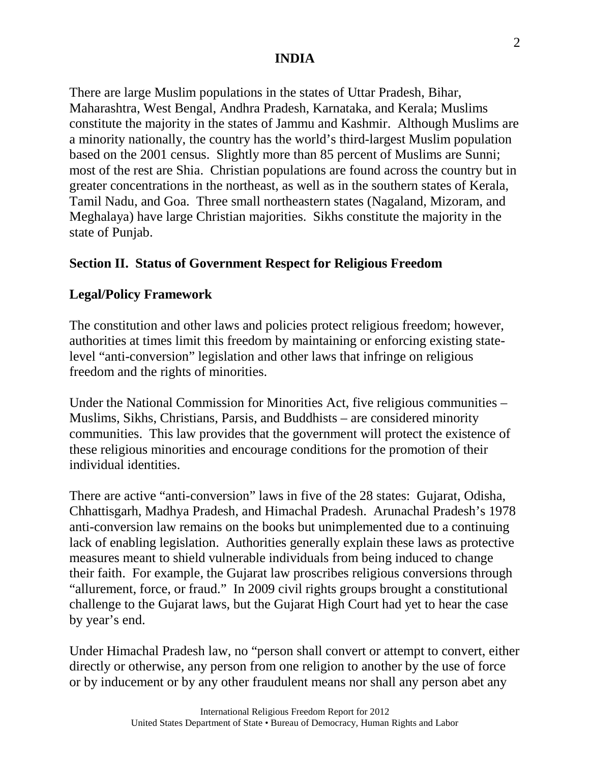There are large Muslim populations in the states of Uttar Pradesh, Bihar, Maharashtra, West Bengal, Andhra Pradesh, Karnataka, and Kerala; Muslims constitute the majority in the states of Jammu and Kashmir. Although Muslims are a minority nationally, the country has the world's third-largest Muslim population based on the 2001 census. Slightly more than 85 percent of Muslims are Sunni; most of the rest are Shia. Christian populations are found across the country but in greater concentrations in the northeast, as well as in the southern states of Kerala, Tamil Nadu, and Goa. Three small northeastern states (Nagaland, Mizoram, and Meghalaya) have large Christian majorities. Sikhs constitute the majority in the state of Punjab.

## **Section II. Status of Government Respect for Religious Freedom**

## **Legal/Policy Framework**

The constitution and other laws and policies protect religious freedom; however, authorities at times limit this freedom by maintaining or enforcing existing statelevel "anti-conversion" legislation and other laws that infringe on religious freedom and the rights of minorities.

Under the National Commission for Minorities Act, five religious communities – Muslims, Sikhs, Christians, Parsis, and Buddhists – are considered minority communities. This law provides that the government will protect the existence of these religious minorities and encourage conditions for the promotion of their individual identities.

There are active "anti-conversion" laws in five of the 28 states: Gujarat, Odisha, Chhattisgarh, Madhya Pradesh, and Himachal Pradesh. Arunachal Pradesh's 1978 anti-conversion law remains on the books but unimplemented due to a continuing lack of enabling legislation. Authorities generally explain these laws as protective measures meant to shield vulnerable individuals from being induced to change their faith. For example, the Gujarat law proscribes religious conversions through "allurement, force, or fraud." In 2009 civil rights groups brought a constitutional challenge to the Gujarat laws, but the Gujarat High Court had yet to hear the case by year's end.

Under Himachal Pradesh law, no "person shall convert or attempt to convert, either directly or otherwise, any person from one religion to another by the use of force or by inducement or by any other fraudulent means nor shall any person abet any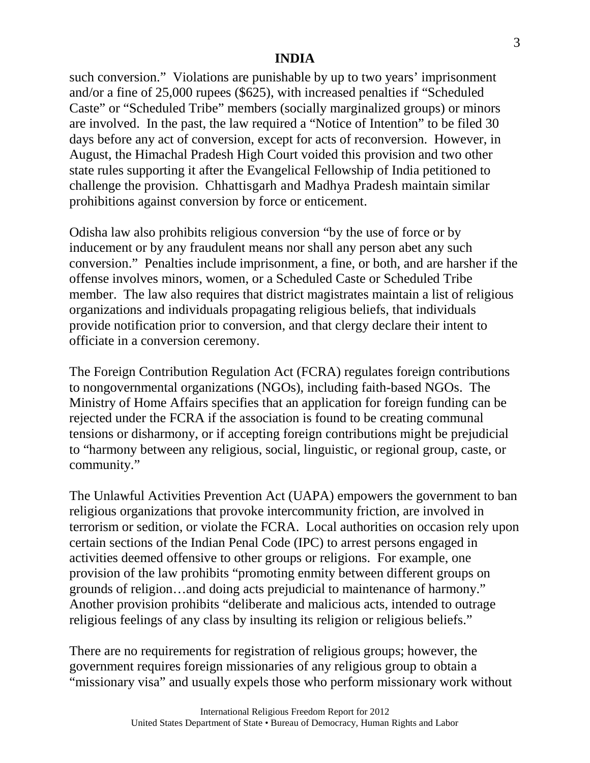such conversion." Violations are punishable by up to two years' imprisonment and/or a fine of 25,000 rupees (\$625), with increased penalties if "Scheduled Caste" or "Scheduled Tribe" members (socially marginalized groups) or minors are involved. In the past, the law required a "Notice of Intention" to be filed 30 days before any act of conversion, except for acts of reconversion. However, in August, the Himachal Pradesh High Court voided this provision and two other state rules supporting it after the Evangelical Fellowship of India petitioned to challenge the provision. Chhattisgarh and Madhya Pradesh maintain similar prohibitions against conversion by force or enticement.

Odisha law also prohibits religious conversion "by the use of force or by inducement or by any fraudulent means nor shall any person abet any such conversion." Penalties include imprisonment, a fine, or both, and are harsher if the offense involves minors, women, or a Scheduled Caste or Scheduled Tribe member. The law also requires that district magistrates maintain a list of religious organizations and individuals propagating religious beliefs, that individuals provide notification prior to conversion, and that clergy declare their intent to officiate in a conversion ceremony.

The Foreign Contribution Regulation Act (FCRA) regulates foreign contributions to nongovernmental organizations (NGOs), including faith-based NGOs. The Ministry of Home Affairs specifies that an application for foreign funding can be rejected under the FCRA if the association is found to be creating communal tensions or disharmony, or if accepting foreign contributions might be prejudicial to "harmony between any religious, social, linguistic, or regional group, caste, or community."

The Unlawful Activities Prevention Act (UAPA) empowers the government to ban religious organizations that provoke intercommunity friction, are involved in terrorism or sedition, or violate the FCRA. Local authorities on occasion rely upon certain sections of the Indian Penal Code (IPC) to arrest persons engaged in activities deemed offensive to other groups or religions. For example, one provision of the law prohibits "promoting enmity between different groups on grounds of religion…and doing acts prejudicial to maintenance of harmony." Another provision prohibits "deliberate and malicious acts, intended to outrage religious feelings of any class by insulting its religion or religious beliefs."

There are no requirements for registration of religious groups; however, the government requires foreign missionaries of any religious group to obtain a "missionary visa" and usually expels those who perform missionary work without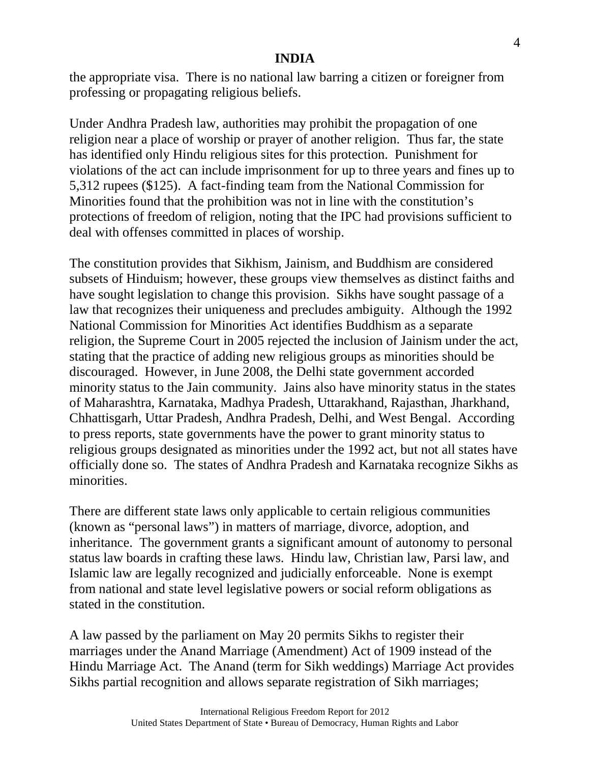the appropriate visa. There is no national law barring a citizen or foreigner from professing or propagating religious beliefs.

Under Andhra Pradesh law, authorities may prohibit the propagation of one religion near a place of worship or prayer of another religion. Thus far, the state has identified only Hindu religious sites for this protection. Punishment for violations of the act can include imprisonment for up to three years and fines up to 5,312 rupees (\$125). A fact-finding team from the National Commission for Minorities found that the prohibition was not in line with the constitution's protections of freedom of religion, noting that the IPC had provisions sufficient to deal with offenses committed in places of worship.

The constitution provides that Sikhism, Jainism, and Buddhism are considered subsets of Hinduism; however, these groups view themselves as distinct faiths and have sought legislation to change this provision. Sikhs have sought passage of a law that recognizes their uniqueness and precludes ambiguity. Although the 1992 National Commission for Minorities Act identifies Buddhism as a separate religion, the Supreme Court in 2005 rejected the inclusion of Jainism under the act, stating that the practice of adding new religious groups as minorities should be discouraged. However, in June 2008, the Delhi state government accorded minority status to the Jain community. Jains also have minority status in the states of Maharashtra, Karnataka, Madhya Pradesh, Uttarakhand, Rajasthan, Jharkhand, Chhattisgarh, Uttar Pradesh, Andhra Pradesh, Delhi, and West Bengal. According to press reports, state governments have the power to grant minority status to religious groups designated as minorities under the 1992 act, but not all states have officially done so. The states of Andhra Pradesh and Karnataka recognize Sikhs as minorities.

There are different state laws only applicable to certain religious communities (known as "personal laws") in matters of marriage, divorce, adoption, and inheritance. The government grants a significant amount of autonomy to personal status law boards in crafting these laws. Hindu law, Christian law, Parsi law, and Islamic law are legally recognized and judicially enforceable. None is exempt from national and state level legislative powers or social reform obligations as stated in the constitution.

A law passed by the parliament on May 20 permits Sikhs to register their marriages under the Anand Marriage (Amendment) Act of 1909 instead of the Hindu Marriage Act. The Anand (term for Sikh weddings) Marriage Act provides Sikhs partial recognition and allows separate registration of Sikh marriages;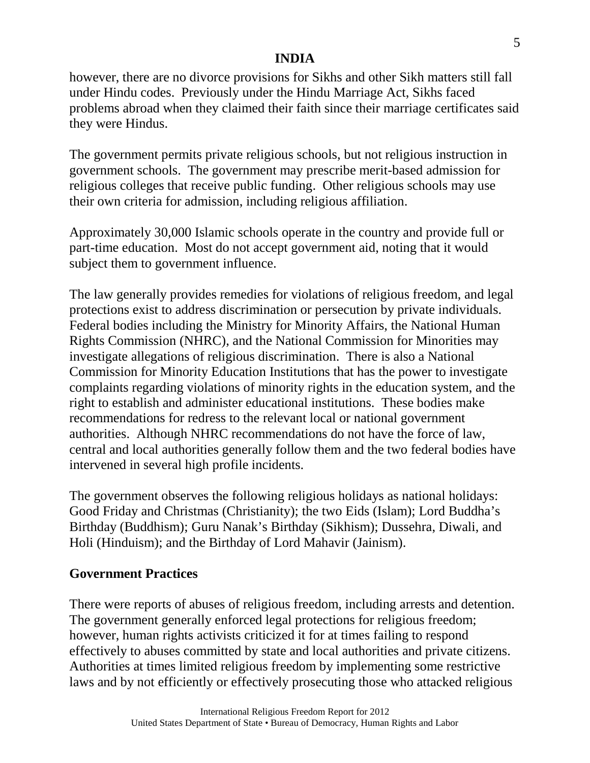however, there are no divorce provisions for Sikhs and other Sikh matters still fall under Hindu codes. Previously under the Hindu Marriage Act, Sikhs faced problems abroad when they claimed their faith since their marriage certificates said they were Hindus.

The government permits private religious schools, but not religious instruction in government schools. The government may prescribe merit-based admission for religious colleges that receive public funding. Other religious schools may use their own criteria for admission, including religious affiliation.

Approximately 30,000 Islamic schools operate in the country and provide full or part-time education. Most do not accept government aid, noting that it would subject them to government influence.

The law generally provides remedies for violations of religious freedom, and legal protections exist to address discrimination or persecution by private individuals. Federal bodies including the Ministry for Minority Affairs, the National Human Rights Commission (NHRC), and the National Commission for Minorities may investigate allegations of religious discrimination. There is also a National Commission for Minority Education Institutions that has the power to investigate complaints regarding violations of minority rights in the education system, and the right to establish and administer educational institutions. These bodies make recommendations for redress to the relevant local or national government authorities. Although NHRC recommendations do not have the force of law, central and local authorities generally follow them and the two federal bodies have intervened in several high profile incidents.

The government observes the following religious holidays as national holidays: Good Friday and Christmas (Christianity); the two Eids (Islam); Lord Buddha's Birthday (Buddhism); Guru Nanak's Birthday (Sikhism); Dussehra, Diwali, and Holi (Hinduism); and the Birthday of Lord Mahavir (Jainism).

## **Government Practices**

There were reports of abuses of religious freedom, including arrests and detention. The government generally enforced legal protections for religious freedom; however, human rights activists criticized it for at times failing to respond effectively to abuses committed by state and local authorities and private citizens. Authorities at times limited religious freedom by implementing some restrictive laws and by not efficiently or effectively prosecuting those who attacked religious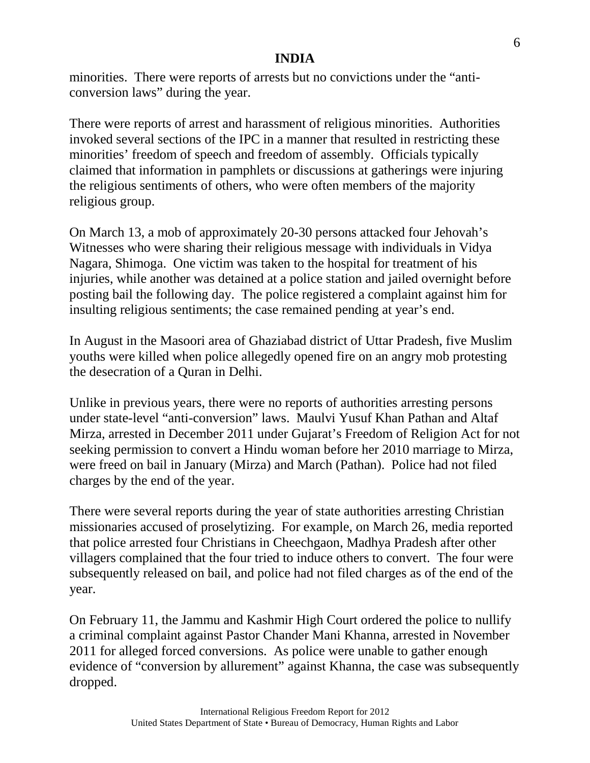minorities. There were reports of arrests but no convictions under the "anticonversion laws" during the year.

There were reports of arrest and harassment of religious minorities. Authorities invoked several sections of the IPC in a manner that resulted in restricting these minorities' freedom of speech and freedom of assembly. Officials typically claimed that information in pamphlets or discussions at gatherings were injuring the religious sentiments of others, who were often members of the majority religious group.

On March 13, a mob of approximately 20-30 persons attacked four Jehovah's Witnesses who were sharing their religious message with individuals in Vidya Nagara, Shimoga. One victim was taken to the hospital for treatment of his injuries, while another was detained at a police station and jailed overnight before posting bail the following day. The police registered a complaint against him for insulting religious sentiments; the case remained pending at year's end.

In August in the Masoori area of Ghaziabad district of Uttar Pradesh, five Muslim youths were killed when police allegedly opened fire on an angry mob protesting the desecration of a Quran in Delhi.

Unlike in previous years, there were no reports of authorities arresting persons under state-level "anti-conversion" laws. Maulvi Yusuf Khan Pathan and Altaf Mirza, arrested in December 2011 under Gujarat's Freedom of Religion Act for not seeking permission to convert a Hindu woman before her 2010 marriage to Mirza, were freed on bail in January (Mirza) and March (Pathan). Police had not filed charges by the end of the year.

There were several reports during the year of state authorities arresting Christian missionaries accused of proselytizing. For example, on March 26, media reported that police arrested four Christians in Cheechgaon, Madhya Pradesh after other villagers complained that the four tried to induce others to convert. The four were subsequently released on bail, and police had not filed charges as of the end of the year.

On February 11, the Jammu and Kashmir High Court ordered the police to nullify a criminal complaint against Pastor Chander Mani Khanna, arrested in November 2011 for alleged forced conversions. As police were unable to gather enough evidence of "conversion by allurement" against Khanna, the case was subsequently dropped.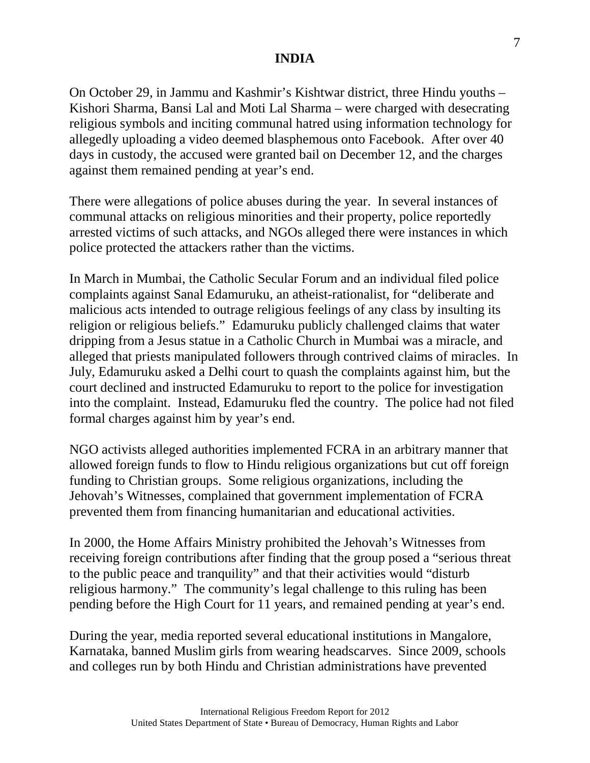On October 29, in Jammu and Kashmir's Kishtwar district, three Hindu youths – Kishori Sharma, Bansi Lal and Moti Lal Sharma – were charged with desecrating religious symbols and inciting communal hatred using information technology for allegedly uploading a video deemed blasphemous onto Facebook. After over 40 days in custody, the accused were granted bail on December 12, and the charges against them remained pending at year's end.

There were allegations of police abuses during the year. In several instances of communal attacks on religious minorities and their property, police reportedly arrested victims of such attacks, and NGOs alleged there were instances in which police protected the attackers rather than the victims.

In March in Mumbai, the Catholic Secular Forum and an individual filed police complaints against Sanal Edamuruku, an atheist-rationalist, for "deliberate and malicious acts intended to outrage religious feelings of any class by insulting its religion or religious beliefs." Edamuruku publicly challenged claims that water dripping from a Jesus statue in a Catholic Church in Mumbai was a miracle, and alleged that priests manipulated followers through contrived claims of miracles. In July, Edamuruku asked a Delhi court to quash the complaints against him, but the court declined and instructed Edamuruku to report to the police for investigation into the complaint. Instead, Edamuruku fled the country. The police had not filed formal charges against him by year's end.

NGO activists alleged authorities implemented FCRA in an arbitrary manner that allowed foreign funds to flow to Hindu religious organizations but cut off foreign funding to Christian groups. Some religious organizations, including the Jehovah's Witnesses, complained that government implementation of FCRA prevented them from financing humanitarian and educational activities.

In 2000, the Home Affairs Ministry prohibited the Jehovah's Witnesses from receiving foreign contributions after finding that the group posed a "serious threat to the public peace and tranquility" and that their activities would "disturb religious harmony." The community's legal challenge to this ruling has been pending before the High Court for 11 years, and remained pending at year's end.

During the year, media reported several educational institutions in Mangalore, Karnataka, banned Muslim girls from wearing headscarves. Since 2009, schools and colleges run by both Hindu and Christian administrations have prevented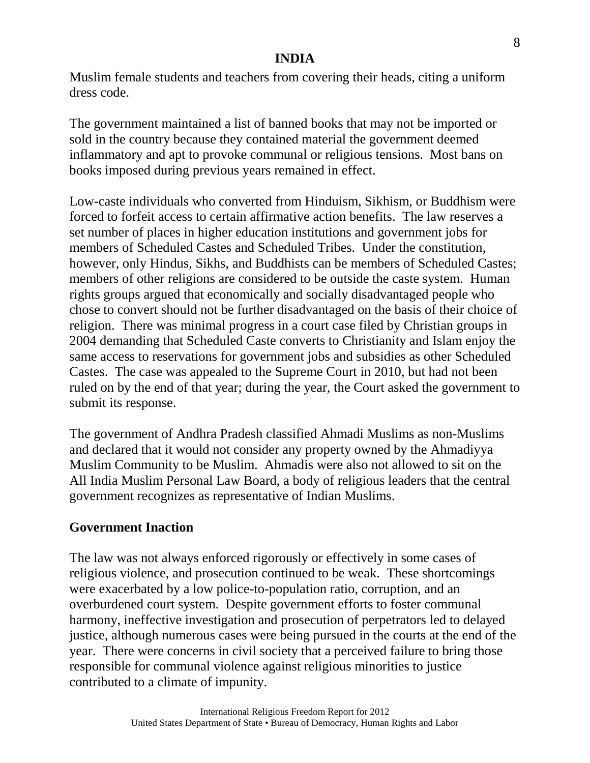Muslim female students and teachers from covering their heads, citing a uniform dress code.

The government maintained a list of banned books that may not be imported or sold in the country because they contained material the government deemed inflammatory and apt to provoke communal or religious tensions. Most bans on books imposed during previous years remained in effect.

Low-caste individuals who converted from Hinduism, Sikhism, or Buddhism were forced to forfeit access to certain affirmative action benefits. The law reserves a set number of places in higher education institutions and government jobs for members of Scheduled Castes and Scheduled Tribes. Under the constitution, however, only Hindus, Sikhs, and Buddhists can be members of Scheduled Castes; members of other religions are considered to be outside the caste system. Human rights groups argued that economically and socially disadvantaged people who chose to convert should not be further disadvantaged on the basis of their choice of religion. There was minimal progress in a court case filed by Christian groups in 2004 demanding that Scheduled Caste converts to Christianity and Islam enjoy the same access to reservations for government jobs and subsidies as other Scheduled Castes. The case was appealed to the Supreme Court in 2010, but had not been ruled on by the end of that year; during the year, the Court asked the government to submit its response.

The government of Andhra Pradesh classified Ahmadi Muslims as non-Muslims and declared that it would not consider any property owned by the Ahmadiyya Muslim Community to be Muslim. Ahmadis were also not allowed to sit on the All India Muslim Personal Law Board, a body of religious leaders that the central government recognizes as representative of Indian Muslims.

### **Government Inaction**

The law was not always enforced rigorously or effectively in some cases of religious violence, and prosecution continued to be weak. These shortcomings were exacerbated by a low police-to-population ratio, corruption, and an overburdened court system. Despite government efforts to foster communal harmony, ineffective investigation and prosecution of perpetrators led to delayed justice, although numerous cases were being pursued in the courts at the end of the year. There were concerns in civil society that a perceived failure to bring those responsible for communal violence against religious minorities to justice contributed to a climate of impunity.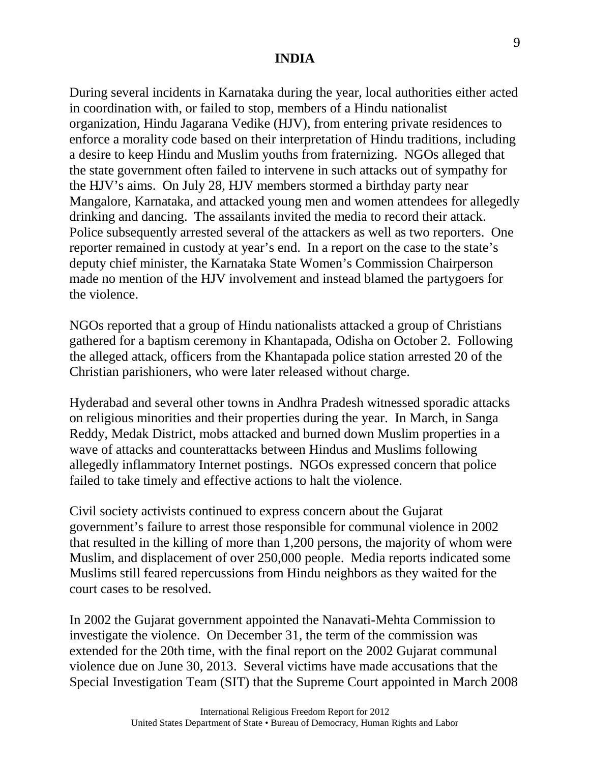During several incidents in Karnataka during the year, local authorities either acted in coordination with, or failed to stop, members of a Hindu nationalist organization, Hindu Jagarana Vedike (HJV), from entering private residences to enforce a morality code based on their interpretation of Hindu traditions, including a desire to keep Hindu and Muslim youths from fraternizing. NGOs alleged that the state government often failed to intervene in such attacks out of sympathy for the HJV's aims. On July 28, HJV members stormed a birthday party near Mangalore, Karnataka, and attacked young men and women attendees for allegedly drinking and dancing. The assailants invited the media to record their attack. Police subsequently arrested several of the attackers as well as two reporters. One reporter remained in custody at year's end. In a report on the case to the state's deputy chief minister, the Karnataka State Women's Commission Chairperson made no mention of the HJV involvement and instead blamed the partygoers for the violence.

NGOs reported that a group of Hindu nationalists attacked a group of Christians gathered for a baptism ceremony in Khantapada, Odisha on October 2. Following the alleged attack, officers from the Khantapada police station arrested 20 of the Christian parishioners, who were later released without charge.

Hyderabad and several other towns in Andhra Pradesh witnessed sporadic attacks on religious minorities and their properties during the year. In March, in Sanga Reddy, Medak District, mobs attacked and burned down Muslim properties in a wave of attacks and counterattacks between Hindus and Muslims following allegedly inflammatory Internet postings. NGOs expressed concern that police failed to take timely and effective actions to halt the violence.

Civil society activists continued to express concern about the Gujarat government's failure to arrest those responsible for communal violence in 2002 that resulted in the killing of more than 1,200 persons, the majority of whom were Muslim, and displacement of over 250,000 people. Media reports indicated some Muslims still feared repercussions from Hindu neighbors as they waited for the court cases to be resolved.

In 2002 the Gujarat government appointed the Nanavati-Mehta Commission to investigate the violence. On December 31, the term of the commission was extended for the 20th time, with the final report on the 2002 Gujarat communal violence due on June 30, 2013. Several victims have made accusations that the Special Investigation Team (SIT) that the Supreme Court appointed in March 2008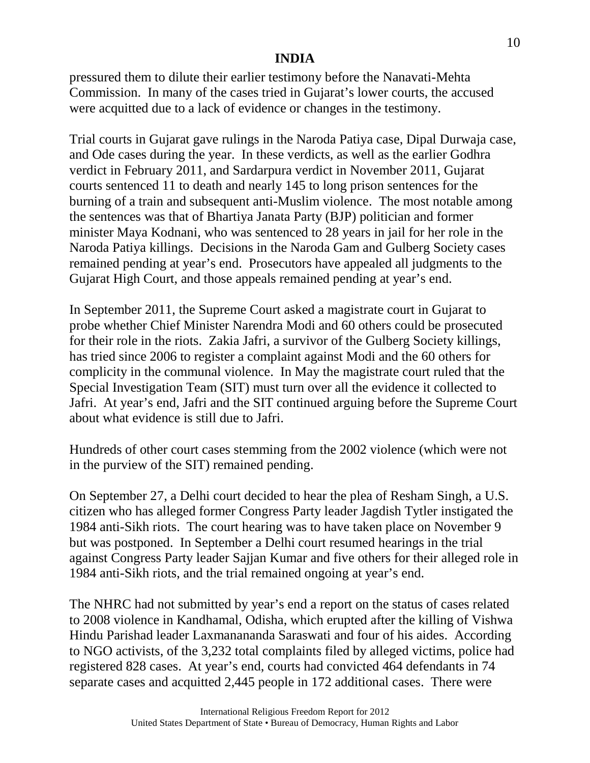pressured them to dilute their earlier testimony before the Nanavati-Mehta Commission. In many of the cases tried in Gujarat's lower courts, the accused were acquitted due to a lack of evidence or changes in the testimony.

Trial courts in Gujarat gave rulings in the Naroda Patiya case, Dipal Durwaja case, and Ode cases during the year. In these verdicts, as well as the earlier Godhra verdict in February 2011, and Sardarpura verdict in November 2011, Gujarat courts sentenced 11 to death and nearly 145 to long prison sentences for the burning of a train and subsequent anti-Muslim violence. The most notable among the sentences was that of Bhartiya Janata Party (BJP) politician and former minister Maya Kodnani, who was sentenced to 28 years in jail for her role in the Naroda Patiya killings. Decisions in the Naroda Gam and Gulberg Society cases remained pending at year's end. Prosecutors have appealed all judgments to the Gujarat High Court, and those appeals remained pending at year's end.

In September 2011, the Supreme Court asked a magistrate court in Gujarat to probe whether Chief Minister Narendra Modi and 60 others could be prosecuted for their role in the riots. Zakia Jafri, a survivor of the Gulberg Society killings, has tried since 2006 to register a complaint against Modi and the 60 others for complicity in the communal violence. In May the magistrate court ruled that the Special Investigation Team (SIT) must turn over all the evidence it collected to Jafri. At year's end, Jafri and the SIT continued arguing before the Supreme Court about what evidence is still due to Jafri.

Hundreds of other court cases stemming from the 2002 violence (which were not in the purview of the SIT) remained pending.

On September 27, a Delhi court decided to hear the plea of Resham Singh, a U.S. citizen who has alleged former Congress Party leader Jagdish Tytler instigated the 1984 anti-Sikh riots. The court hearing was to have taken place on November 9 but was postponed. In September a Delhi court resumed hearings in the trial against Congress Party leader Sajjan Kumar and five others for their alleged role in 1984 anti-Sikh riots, and the trial remained ongoing at year's end.

The NHRC had not submitted by year's end a report on the status of cases related to 2008 violence in Kandhamal, Odisha, which erupted after the killing of Vishwa Hindu Parishad leader Laxmanananda Saraswati and four of his aides. According to NGO activists, of the 3,232 total complaints filed by alleged victims, police had registered 828 cases. At year's end, courts had convicted 464 defendants in 74 separate cases and acquitted 2,445 people in 172 additional cases. There were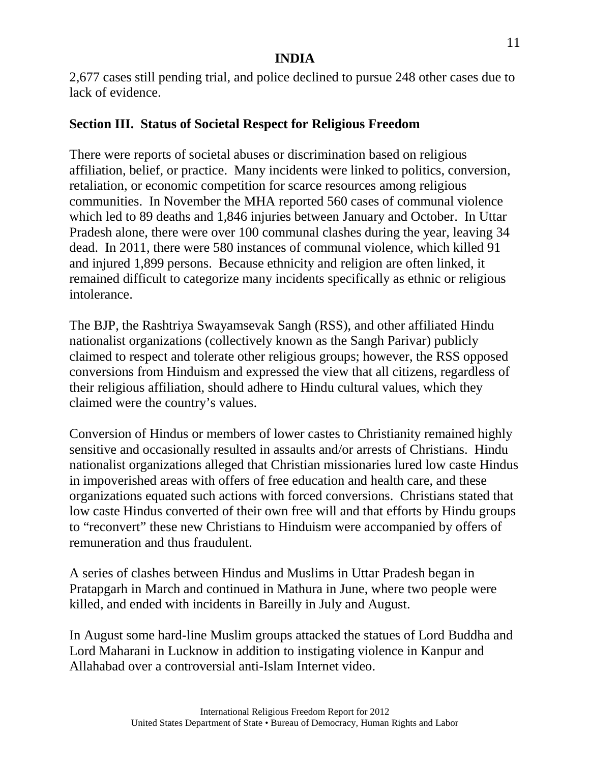2,677 cases still pending trial, and police declined to pursue 248 other cases due to lack of evidence.

# **Section III. Status of Societal Respect for Religious Freedom**

There were reports of societal abuses or discrimination based on religious affiliation, belief, or practice. Many incidents were linked to politics, conversion, retaliation, or economic competition for scarce resources among religious communities. In November the MHA reported 560 cases of communal violence which led to 89 deaths and 1,846 injuries between January and October. In Uttar Pradesh alone, there were over 100 communal clashes during the year, leaving 34 dead. In 2011, there were 580 instances of communal violence, which killed 91 and injured 1,899 persons. Because ethnicity and religion are often linked, it remained difficult to categorize many incidents specifically as ethnic or religious intolerance.

The BJP, the Rashtriya Swayamsevak Sangh (RSS), and other affiliated Hindu nationalist organizations (collectively known as the Sangh Parivar) publicly claimed to respect and tolerate other religious groups; however, the RSS opposed conversions from Hinduism and expressed the view that all citizens, regardless of their religious affiliation, should adhere to Hindu cultural values, which they claimed were the country's values.

Conversion of Hindus or members of lower castes to Christianity remained highly sensitive and occasionally resulted in assaults and/or arrests of Christians. Hindu nationalist organizations alleged that Christian missionaries lured low caste Hindus in impoverished areas with offers of free education and health care, and these organizations equated such actions with forced conversions. Christians stated that low caste Hindus converted of their own free will and that efforts by Hindu groups to "reconvert" these new Christians to Hinduism were accompanied by offers of remuneration and thus fraudulent.

A series of clashes between Hindus and Muslims in Uttar Pradesh began in Pratapgarh in March and continued in Mathura in June, where two people were killed, and ended with incidents in Bareilly in July and August.

In August some hard-line Muslim groups attacked the statues of Lord Buddha and Lord Maharani in Lucknow in addition to instigating violence in Kanpur and Allahabad over a controversial anti-Islam Internet video.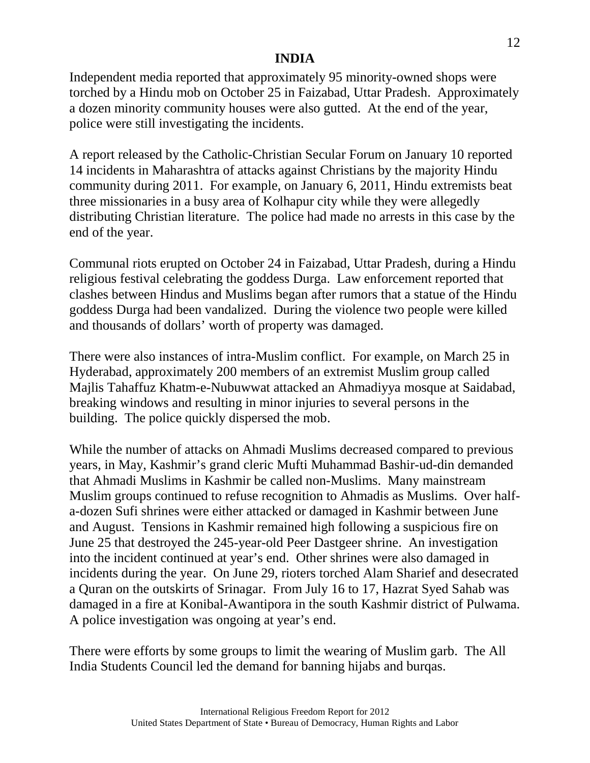Independent media reported that approximately 95 minority-owned shops were torched by a Hindu mob on October 25 in Faizabad, Uttar Pradesh. Approximately a dozen minority community houses were also gutted. At the end of the year, police were still investigating the incidents.

A report released by the Catholic-Christian Secular Forum on January 10 reported 14 incidents in Maharashtra of attacks against Christians by the majority Hindu community during 2011. For example, on January 6, 2011, Hindu extremists beat three missionaries in a busy area of Kolhapur city while they were allegedly distributing Christian literature. The police had made no arrests in this case by the end of the year.

Communal riots erupted on October 24 in Faizabad, Uttar Pradesh, during a Hindu religious festival celebrating the goddess Durga. Law enforcement reported that clashes between Hindus and Muslims began after rumors that a statue of the Hindu goddess Durga had been vandalized. During the violence two people were killed and thousands of dollars' worth of property was damaged.

There were also instances of intra-Muslim conflict. For example, on March 25 in Hyderabad, approximately 200 members of an extremist Muslim group called Majlis Tahaffuz Khatm-e-Nubuwwat attacked an Ahmadiyya mosque at Saidabad, breaking windows and resulting in minor injuries to several persons in the building. The police quickly dispersed the mob.

While the number of attacks on Ahmadi Muslims decreased compared to previous years, in May, Kashmir's grand cleric Mufti Muhammad Bashir-ud-din demanded that Ahmadi Muslims in Kashmir be called non-Muslims. Many mainstream Muslim groups continued to refuse recognition to Ahmadis as Muslims. Over halfa-dozen Sufi shrines were either attacked or damaged in Kashmir between June and August. Tensions in Kashmir remained high following a suspicious fire on June 25 that destroyed the 245-year-old Peer Dastgeer shrine. An investigation into the incident continued at year's end. Other shrines were also damaged in incidents during the year. On June 29, rioters torched Alam Sharief and desecrated a Quran on the outskirts of Srinagar. From July 16 to 17, Hazrat Syed Sahab was damaged in a fire at Konibal-Awantipora in the south Kashmir district of Pulwama. A police investigation was ongoing at year's end.

There were efforts by some groups to limit the wearing of Muslim garb. The All India Students Council led the demand for banning hijabs and burqas.